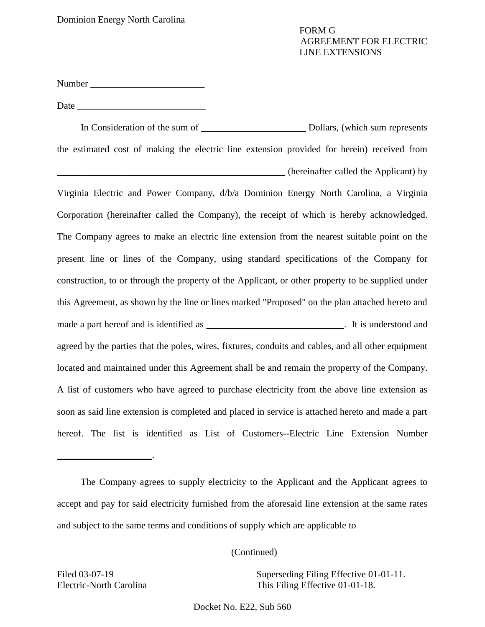Number \_\_\_\_\_\_\_\_\_\_\_\_\_\_\_\_\_\_\_\_\_\_\_\_

Date  $\Box$ 

 In Consideration of the sum of \_\_\_\_\_\_\_\_\_\_\_\_\_\_\_\_\_\_\_\_\_\_ Dollars, (which sum represents the estimated cost of making the electric line extension provided for herein) received from \_\_\_\_\_\_\_\_\_\_\_\_\_\_\_\_\_\_\_\_\_\_\_\_\_\_\_\_\_\_\_\_\_\_\_\_\_\_\_\_\_\_\_\_\_\_\_\_ (hereinafter called the Applicant) by

 Virginia Electric and Power Company, d/b/a Dominion Energy North Carolina, a Virginia Corporation (hereinafter called the Company), the receipt of which is hereby acknowledged. The Company agrees to make an electric line extension from the nearest suitable point on the present line or lines of the Company, using standard specifications of the Company for construction, to or through the property of the Applicant, or other property to be supplied under this Agreement, as shown by the line or lines marked "Proposed" on the plan attached hereto and made a part hereof and is identified as \_\_\_\_\_\_\_\_\_\_\_\_\_\_\_\_\_\_\_\_\_\_\_\_\_\_\_\_. It is understood and agreed by the parties that the poles, wires, fixtures, conduits and cables, and all other equipment located and maintained under this Agreement shall be and remain the property of the Company. A list of customers who have agreed to purchase electricity from the above line extension as soon as said line extension is completed and placed in service is attached hereto and made a part hereof. The list is identified as List of Customers--Electric Line Extension Number

(Continued)

Electric-North Carolina

 $\overline{\phantom{a}}$  , and the set of the set of the set of the set of the set of the set of the set of the set of the set of the set of the set of the set of the set of the set of the set of the set of the set of the set of the s

Filed 03-07-19 Superseding Filing Effective 01-01-11. This Filing Effective  $01-01-18$ .

Docket No. E22, Sub 560

 The Company agrees to supply electricity to the Applicant and the Applicant agrees to accept and pay for said electricity furnished from the aforesaid line extension at the same rates and subject to the same terms and conditions of supply which are applicable to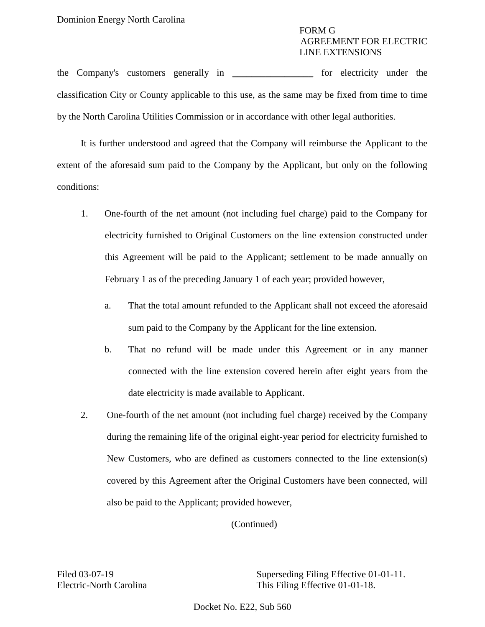the Company's customers generally in \_\_\_\_\_\_\_\_\_\_\_\_\_\_\_\_\_ for electricity under the classification City or County applicable to this use, as the same may be fixed from time to time by the North Carolina Utilities Commission or in accordance with other legal authorities.

 It is further understood and agreed that the Company will reimburse the Applicant to the extent of the aforesaid sum paid to the Company by the Applicant, but only on the following conditions:

- 1. One-fourth of the net amount (not including fuel charge) paid to the Company for electricity furnished to Original Customers on the line extension constructed under this Agreement will be paid to the Applicant; settlement to be made annually on February 1 as of the preceding January 1 of each year; provided however,
	- a. That the total amount refunded to the Applicant shall not exceed the aforesaid sum paid to the Company by the Applicant for the line extension.
	- connected with the line extension covered herein after eight years from the b. That no refund will be made under this Agreement or in any manner date electricity is made available to Applicant.
- covered by this Agreement after the Original Customers have been connected, will 2. One-fourth of the net amount (not including fuel charge) received by the Company during the remaining life of the original eight-year period for electricity furnished to New Customers, who are defined as customers connected to the line extension(s) also be paid to the Applicant; provided however,

(Continued)

Filed 03-07-19 Superseding Filing Effective 01-01-11. Electric-North Carolina This Filing Effective 01-01-18.

Docket No. E22, Sub 560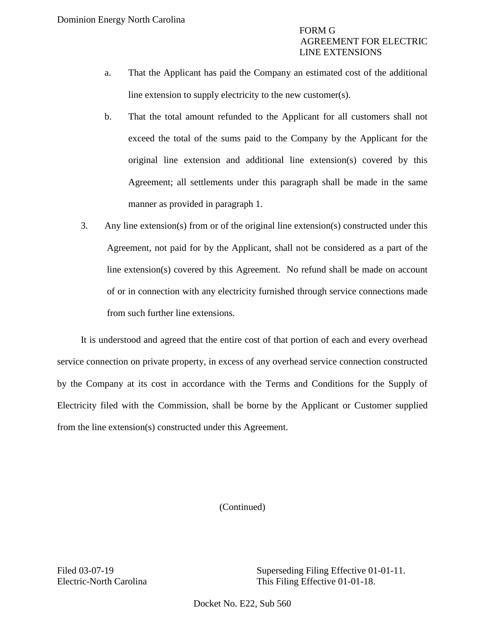- a. That the Applicant has paid the Company an estimated cost of the additional line extension to supply electricity to the new customer(s).
- b. That the total amount refunded to the Applicant for all customers shall not exceed the total of the sums paid to the Company by the Applicant for the original line extension and additional line extension(s) covered by this Agreement; all settlements under this paragraph shall be made in the same manner as provided in paragraph 1.
- Agreement, not paid for by the Applicant, shall not be considered as a part of the line extension(s) covered by this Agreement. No refund shall be made on account of or in connection with any electricity furnished through service connections made 3. Any line extension(s) from or of the original line extension(s) constructed under this from such further line extensions.

 It is understood and agreed that the entire cost of that portion of each and every overhead service connection on private property, in excess of any overhead service connection constructed by the Company at its cost in accordance with the Terms and Conditions for the Supply of Electricity filed with the Commission, shall be borne by the Applicant or Customer supplied from the line extension(s) constructed under this Agreement.

(Continued)

Filed 03-07-19 Superseding Filing Effective 01-01-11. Electric-North Carolina This Filing Effective 01-01-18.

Docket No. E22, Sub 560